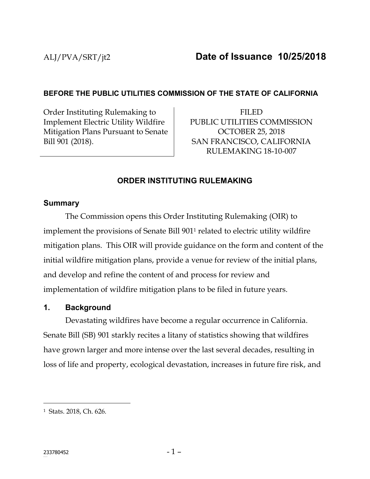# **BEFORE THE PUBLIC UTILITIES COMMISSION OF THE STATE OF CALIFORNIA**

Order Instituting Rulemaking to Implement Electric Utility Wildfire Mitigation Plans Pursuant to Senate Bill 901 (2018).

FILED PUBLIC UTILITIES COMMISSION OCTOBER 25, 2018 SAN FRANCISCO, CALIFORNIA RULEMAKING 18-10-007

# **ORDER INSTITUTING RULEMAKING**

#### **Summary**

The Commission opens this Order Instituting Rulemaking (OIR) to implement the provisions of Senate Bill 901<sup>1</sup> related to electric utility wildfire mitigation plans. This OIR will provide guidance on the form and content of the initial wildfire mitigation plans, provide a venue for review of the initial plans, and develop and refine the content of and process for review and implementation of wildfire mitigation plans to be filed in future years.

#### **1. Background**

Devastating wildfires have become a regular occurrence in California. Senate Bill (SB) 901 starkly recites a litany of statistics showing that wildfires have grown larger and more intense over the last several decades, resulting in loss of life and property, ecological devastation, increases in future fire risk, and

 $\overline{a}$ 

<sup>1</sup> Stats. 2018, Ch. 626.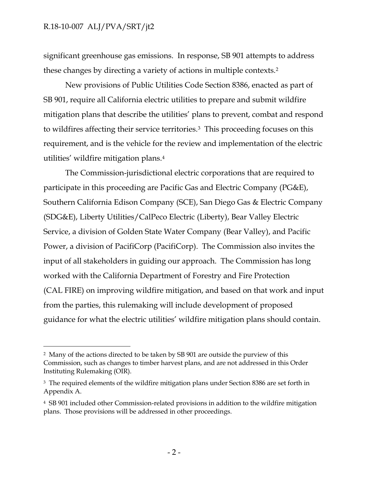$\overline{a}$ 

significant greenhouse gas emissions. In response, SB 901 attempts to address these changes by directing a variety of actions in multiple contexts.<sup>2</sup>

New provisions of Public Utilities Code Section 8386, enacted as part of SB 901, require all California electric utilities to prepare and submit wildfire mitigation plans that describe the utilities' plans to prevent, combat and respond to wildfires affecting their service territories.3 This proceeding focuses on this requirement, and is the vehicle for the review and implementation of the electric utilities' wildfire mitigation plans.<sup>4</sup>

The Commission-jurisdictional electric corporations that are required to participate in this proceeding are Pacific Gas and Electric Company (PG&E), Southern California Edison Company (SCE), San Diego Gas & Electric Company (SDG&E), Liberty Utilities/CalPeco Electric (Liberty), Bear Valley Electric Service, a division of Golden State Water Company (Bear Valley), and Pacific Power, a division of PacifiCorp (PacifiCorp). The Commission also invites the input of all stakeholders in guiding our approach. The Commission has long worked with the California Department of Forestry and Fire Protection (CAL FIRE) on improving wildfire mitigation, and based on that work and input from the parties, this rulemaking will include development of proposed guidance for what the electric utilities' wildfire mitigation plans should contain.

<sup>2</sup> Many of the actions directed to be taken by SB 901 are outside the purview of this Commission, such as changes to timber harvest plans, and are not addressed in this Order Instituting Rulemaking (OIR).

<sup>&</sup>lt;sup>3</sup> The required elements of the wildfire mitigation plans under Section 8386 are set forth in Appendix A.

<sup>4</sup> SB 901 included other Commission-related provisions in addition to the wildfire mitigation plans. Those provisions will be addressed in other proceedings.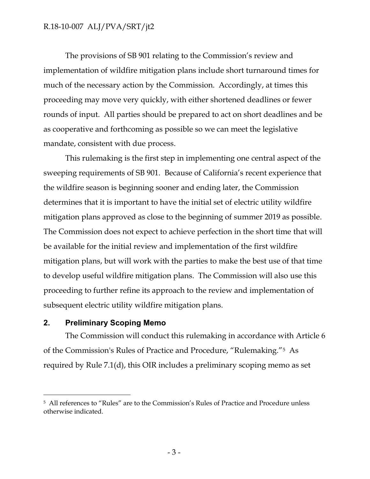The provisions of SB 901 relating to the Commission's review and implementation of wildfire mitigation plans include short turnaround times for much of the necessary action by the Commission. Accordingly, at times this proceeding may move very quickly, with either shortened deadlines or fewer rounds of input. All parties should be prepared to act on short deadlines and be as cooperative and forthcoming as possible so we can meet the legislative mandate, consistent with due process.

This rulemaking is the first step in implementing one central aspect of the sweeping requirements of SB 901. Because of California's recent experience that the wildfire season is beginning sooner and ending later, the Commission determines that it is important to have the initial set of electric utility wildfire mitigation plans approved as close to the beginning of summer 2019 as possible. The Commission does not expect to achieve perfection in the short time that will be available for the initial review and implementation of the first wildfire mitigation plans, but will work with the parties to make the best use of that time to develop useful wildfire mitigation plans. The Commission will also use this proceeding to further refine its approach to the review and implementation of subsequent electric utility wildfire mitigation plans.

#### **2. Preliminary Scoping Memo**

 $\overline{a}$ 

The Commission will conduct this rulemaking in accordance with Article 6 of the Commission's Rules of Practice and Procedure, "Rulemaking."5 As required by Rule 7.1(d), this OIR includes a preliminary scoping memo as set

<sup>5</sup> All references to "Rules" are to the Commission's Rules of Practice and Procedure unless otherwise indicated.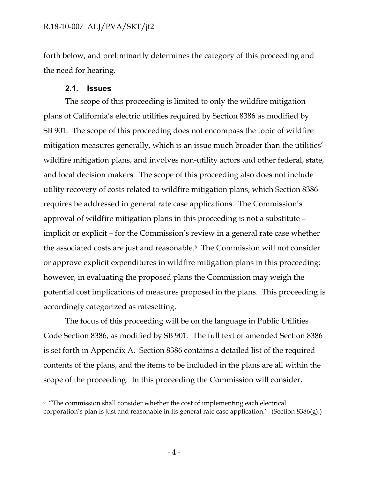forth below, and preliminarily determines the category of this proceeding and the need for hearing.

#### **2.1. Issues**

 $\overline{a}$ 

The scope of this proceeding is limited to only the wildfire mitigation plans of California's electric utilities required by Section 8386 as modified by SB 901. The scope of this proceeding does not encompass the topic of wildfire mitigation measures generally, which is an issue much broader than the utilities' wildfire mitigation plans, and involves non-utility actors and other federal, state, and local decision makers. The scope of this proceeding also does not include utility recovery of costs related to wildfire mitigation plans, which Section 8386 requires be addressed in general rate case applications. The Commission's approval of wildfire mitigation plans in this proceeding is not a substitute – implicit or explicit – for the Commission's review in a general rate case whether the associated costs are just and reasonable. <sup>6</sup> The Commission will not consider or approve explicit expenditures in wildfire mitigation plans in this proceeding; however, in evaluating the proposed plans the Commission may weigh the potential cost implications of measures proposed in the plans. This proceeding is accordingly categorized as ratesetting.

The focus of this proceeding will be on the language in Public Utilities Code Section 8386, as modified by SB 901. The full text of amended Section 8386 is set forth in Appendix A. Section 8386 contains a detailed list of the required contents of the plans, and the items to be included in the plans are all within the scope of the proceeding. In this proceeding the Commission will consider,

<sup>6</sup> "The commission shall consider whether the cost of implementing each electrical corporation's plan is just and reasonable in its general rate case application." (Section 8386(g).)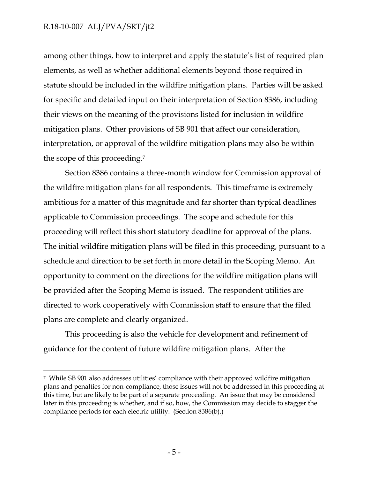$\overline{a}$ 

among other things, how to interpret and apply the statute's list of required plan elements, as well as whether additional elements beyond those required in statute should be included in the wildfire mitigation plans. Parties will be asked for specific and detailed input on their interpretation of Section 8386, including their views on the meaning of the provisions listed for inclusion in wildfire mitigation plans. Other provisions of SB 901 that affect our consideration, interpretation, or approval of the wildfire mitigation plans may also be within the scope of this proceeding.<sup>7</sup>

Section 8386 contains a three-month window for Commission approval of the wildfire mitigation plans for all respondents. This timeframe is extremely ambitious for a matter of this magnitude and far shorter than typical deadlines applicable to Commission proceedings. The scope and schedule for this proceeding will reflect this short statutory deadline for approval of the plans. The initial wildfire mitigation plans will be filed in this proceeding, pursuant to a schedule and direction to be set forth in more detail in the Scoping Memo. An opportunity to comment on the directions for the wildfire mitigation plans will be provided after the Scoping Memo is issued. The respondent utilities are directed to work cooperatively with Commission staff to ensure that the filed plans are complete and clearly organized.

This proceeding is also the vehicle for development and refinement of guidance for the content of future wildfire mitigation plans. After the

<sup>7</sup> While SB 901 also addresses utilities' compliance with their approved wildfire mitigation plans and penalties for non-compliance, those issues will not be addressed in this proceeding at this time, but are likely to be part of a separate proceeding. An issue that may be considered later in this proceeding is whether, and if so, how, the Commission may decide to stagger the compliance periods for each electric utility. (Section 8386(b).)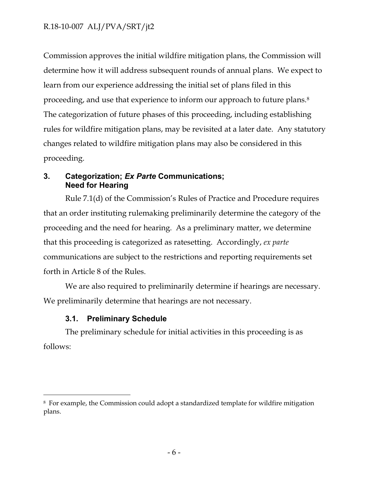Commission approves the initial wildfire mitigation plans, the Commission will determine how it will address subsequent rounds of annual plans. We expect to learn from our experience addressing the initial set of plans filed in this proceeding, and use that experience to inform our approach to future plans.<sup>8</sup> The categorization of future phases of this proceeding, including establishing rules for wildfire mitigation plans, may be revisited at a later date. Any statutory changes related to wildfire mitigation plans may also be considered in this proceeding.

## **3. Categorization;** *Ex Parte* **Communications; Need for Hearing**

Rule 7.1(d) of the Commission's Rules of Practice and Procedure requires that an order instituting rulemaking preliminarily determine the category of the proceeding and the need for hearing. As a preliminary matter, we determine that this proceeding is categorized as ratesetting. Accordingly, *ex parte* communications are subject to the restrictions and reporting requirements set forth in Article 8 of the Rules.

We are also required to preliminarily determine if hearings are necessary. We preliminarily determine that hearings are not necessary.

# **3.1. Preliminary Schedule**

 $\overline{a}$ 

The preliminary schedule for initial activities in this proceeding is as follows:

<sup>8</sup> For example, the Commission could adopt a standardized template for wildfire mitigation plans.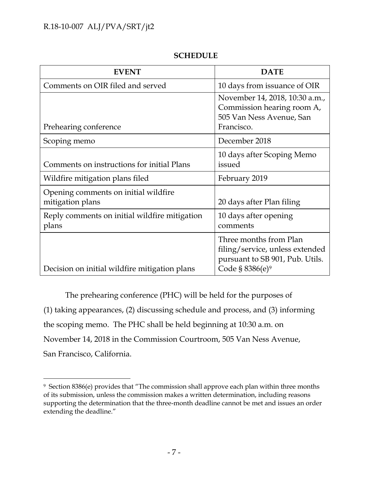$\overline{a}$ 

| <b>EVENT</b>                                             | <b>DATE</b>                                                                                                                 |
|----------------------------------------------------------|-----------------------------------------------------------------------------------------------------------------------------|
| Comments on OIR filed and served                         | 10 days from issuance of OIR                                                                                                |
| Prehearing conference                                    | November 14, 2018, 10:30 a.m.,<br>Commission hearing room A,<br>505 Van Ness Avenue, San<br>Francisco.                      |
| Scoping memo                                             | December 2018                                                                                                               |
| Comments on instructions for initial Plans               | 10 days after Scoping Memo<br>issued                                                                                        |
| Wildfire mitigation plans filed                          | February 2019                                                                                                               |
| Opening comments on initial wildfire<br>mitigation plans | 20 days after Plan filing                                                                                                   |
| Reply comments on initial wildfire mitigation<br>plans   | 10 days after opening<br>comments                                                                                           |
| Decision on initial wildfire mitigation plans            | Three months from Plan<br>filing/service, unless extended<br>pursuant to SB 901, Pub. Utils.<br>Code § 8386(e) <sup>9</sup> |

#### **SCHEDULE**

The prehearing conference (PHC) will be held for the purposes of (1) taking appearances, (2) discussing schedule and process, and (3) informing the scoping memo. The PHC shall be held beginning at 10:30 a.m. on November 14, 2018 in the Commission Courtroom, 505 Van Ness Avenue, San Francisco, California.

<sup>9</sup> Section 8386(e) provides that "The commission shall approve each plan within three months of its submission, unless the commission makes a written determination, including reasons supporting the determination that the three-month deadline cannot be met and issues an order extending the deadline."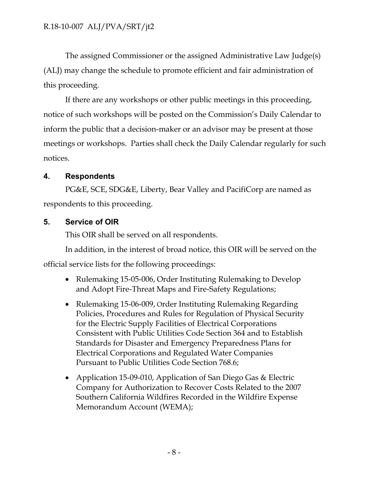The assigned Commissioner or the assigned Administrative Law Judge(s) (ALJ) may change the schedule to promote efficient and fair administration of this proceeding.

If there are any workshops or other public meetings in this proceeding, notice of such workshops will be posted on the Commission's Daily Calendar to inform the public that a decision-maker or an advisor may be present at those meetings or workshops. Parties shall check the Daily Calendar regularly for such notices.

# **4. Respondents**

PG&E, SCE, SDG&E, Liberty, Bear Valley and PacifiCorp are named as respondents to this proceeding.

# **5. Service of OIR**

This OIR shall be served on all respondents.

In addition, in the interest of broad notice, this OIR will be served on the official service lists for the following proceedings:

- Rulemaking 15-05-006, Order Instituting Rulemaking to Develop and Adopt Fire-Threat Maps and Fire-Safety Regulations;
- Rulemaking 15-06-009, Order Instituting Rulemaking Regarding Policies, Procedures and Rules for Regulation of Physical Security for the Electric Supply Facilities of Electrical Corporations Consistent with Public Utilities Code Section 364 and to Establish Standards for Disaster and Emergency Preparedness Plans for Electrical Corporations and Regulated Water Companies Pursuant to Public Utilities Code Section 768.6;
- Application 15-09-010, Application of San Diego Gas & Electric Company for Authorization to Recover Costs Related to the 2007 Southern California Wildfires Recorded in the Wildfire Expense Memorandum Account (WEMA);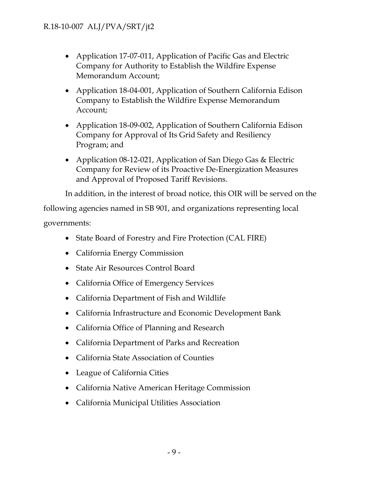- Application 17-07-011, Application of Pacific Gas and Electric Company for Authority to Establish the Wildfire Expense Memorandum Account;
- Application 18-04-001, Application of Southern California Edison Company to Establish the Wildfire Expense Memorandum Account;
- Application 18-09-002, Application of Southern California Edison Company for Approval of Its Grid Safety and Resiliency Program; and
- Application 08-12-021, Application of San Diego Gas & Electric Company for Review of its Proactive De-Energization Measures and Approval of Proposed Tariff Revisions.

In addition, in the interest of broad notice, this OIR will be served on the

following agencies named in SB 901, and organizations representing local governments:

- State Board of Forestry and Fire Protection (CAL FIRE)
- California Energy Commission
- State Air Resources Control Board
- California Office of Emergency Services
- California Department of Fish and Wildlife
- California Infrastructure and Economic Development Bank
- California Office of Planning and Research
- California Department of Parks and Recreation
- California State Association of Counties
- League of California Cities
- California Native American Heritage Commission
- California Municipal Utilities Association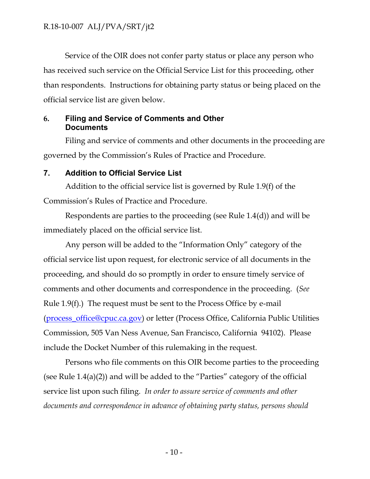Service of the OIR does not confer party status or place any person who has received such service on the Official Service List for this proceeding, other than respondents. Instructions for obtaining party status or being placed on the official service list are given below.

#### **6. Filing and Service of Comments and Other Documents**

Filing and service of comments and other documents in the proceeding are governed by the Commission's Rules of Practice and Procedure.

#### **7. Addition to Official Service List**

Addition to the official service list is governed by Rule 1.9(f) of the Commission's Rules of Practice and Procedure.

Respondents are parties to the proceeding (see Rule 1.4(d)) and will be immediately placed on the official service list.

Any person will be added to the "Information Only" category of the official service list upon request, for electronic service of all documents in the proceeding, and should do so promptly in order to ensure timely service of comments and other documents and correspondence in the proceeding. (*See* Rule 1.9(f).) The request must be sent to the Process Office by e-mail [\(process\\_office@cpuc.ca.gov\)](mailto:process_office@cpuc.ca.gov) or letter (Process Office, California Public Utilities Commission, 505 Van Ness Avenue, San Francisco, California 94102). Please include the Docket Number of this rulemaking in the request.

Persons who file comments on this OIR become parties to the proceeding (see Rule 1.4(a)(2)) and will be added to the "Parties" category of the official service list upon such filing. *In order to assure service of comments and other documents and correspondence in advance of obtaining party status, persons should*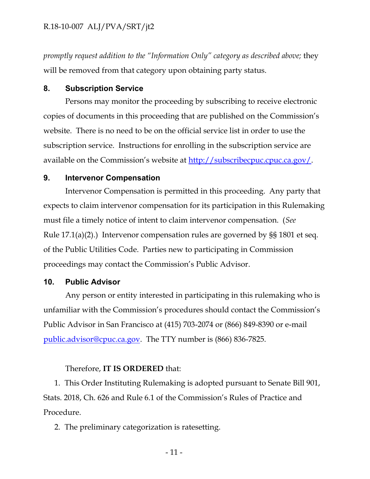*promptly request addition to the "Information Only" category as described above;* they will be removed from that category upon obtaining party status.

#### **8. Subscription Service**

Persons may monitor the proceeding by subscribing to receive electronic copies of documents in this proceeding that are published on the Commission's website. There is no need to be on the official service list in order to use the subscription service. Instructions for enrolling in the subscription service are available on the Commission's website at [http://subscribecpuc.cpuc.ca.gov/.](http://subscribecpuc.cpuc.ca.gov/)

#### **9. Intervenor Compensation**

Intervenor Compensation is permitted in this proceeding. Any party that expects to claim intervenor compensation for its participation in this Rulemaking must file a timely notice of intent to claim intervenor compensation. (*See* Rule 17.1(a)(2).) Intervenor compensation rules are governed by §§ 1801 et seq. of the Public Utilities Code. Parties new to participating in Commission proceedings may contact the Commission's Public Advisor.

#### **10. Public Advisor**

Any person or entity interested in participating in this rulemaking who is unfamiliar with the Commission's procedures should contact the Commission's Public Advisor in San Francisco at (415) 703-2074 or (866) 849-8390 or e-mail [public.advisor@cpuc.ca.gov.](mailto:public.advisor@cpuc.ca.gov) The TTY number is (866) 836-7825.

#### Therefore, **IT IS ORDERED** that:

1. This Order Instituting Rulemaking is adopted pursuant to Senate Bill 901, Stats. 2018, Ch. 626 and Rule 6.1 of the Commission's Rules of Practice and Procedure.

2. The preliminary categorization is ratesetting.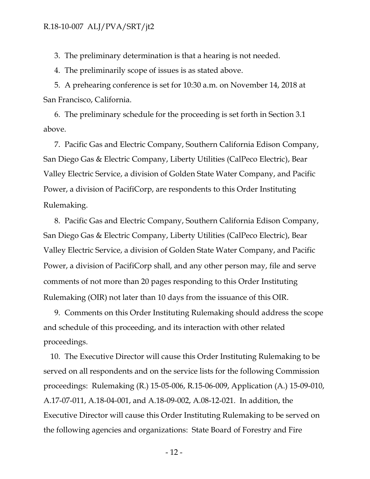3. The preliminary determination is that a hearing is not needed.

4. The preliminarily scope of issues is as stated above.

5. A prehearing conference is set for 10:30 a.m. on November 14, 2018 at San Francisco, California.

6. The preliminary schedule for the proceeding is set forth in Section 3.1 above.

7. Pacific Gas and Electric Company, Southern California Edison Company, San Diego Gas & Electric Company, Liberty Utilities (CalPeco Electric), Bear Valley Electric Service, a division of Golden State Water Company, and Pacific Power, a division of PacifiCorp, are respondents to this Order Instituting Rulemaking.

8. Pacific Gas and Electric Company, Southern California Edison Company, San Diego Gas & Electric Company, Liberty Utilities (CalPeco Electric), Bear Valley Electric Service, a division of Golden State Water Company, and Pacific Power, a division of PacifiCorp shall, and any other person may, file and serve comments of not more than 20 pages responding to this Order Instituting Rulemaking (OIR) not later than 10 days from the issuance of this OIR.

9. Comments on this Order Instituting Rulemaking should address the scope and schedule of this proceeding, and its interaction with other related proceedings.

10. The Executive Director will cause this Order Instituting Rulemaking to be served on all respondents and on the service lists for the following Commission proceedings: Rulemaking (R.) 15-05-006, R.15-06-009, Application (A.) 15-09-010, A.17-07-011, A.18-04-001, and A.18-09-002, A.08-12-021. In addition, the Executive Director will cause this Order Instituting Rulemaking to be served on the following agencies and organizations: State Board of Forestry and Fire

- 12 -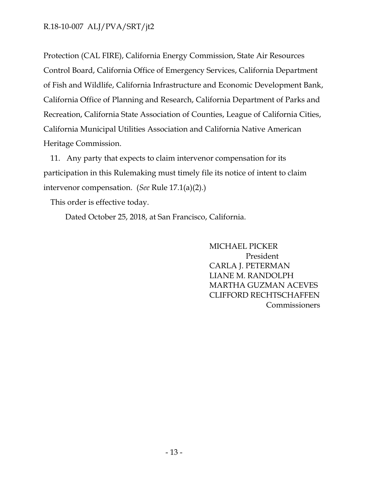Protection (CAL FIRE), California Energy Commission, State Air Resources Control Board, California Office of Emergency Services, California Department of Fish and Wildlife, California Infrastructure and Economic Development Bank, California Office of Planning and Research, California Department of Parks and Recreation, California State Association of Counties, League of California Cities, California Municipal Utilities Association and California Native American Heritage Commission.

11. Any party that expects to claim intervenor compensation for its participation in this Rulemaking must timely file its notice of intent to claim intervenor compensation. (*See* Rule 17.1(a)(2).)

This order is effective today.

Dated October 25, 2018, at San Francisco, California.

MICHAEL PICKER President CARLA J. PETERMAN LIANE M. RANDOLPH MARTHA GUZMAN ACEVES CLIFFORD RECHTSCHAFFEN **Commissioners**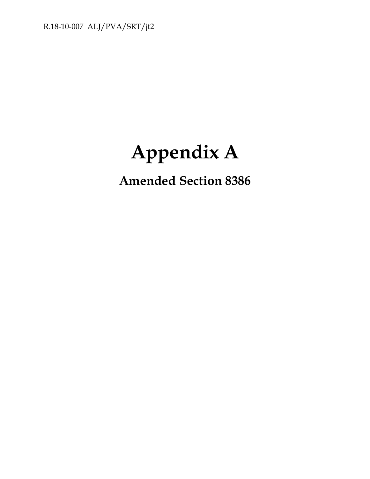# **Appendix A**

# **Amended Section 8386**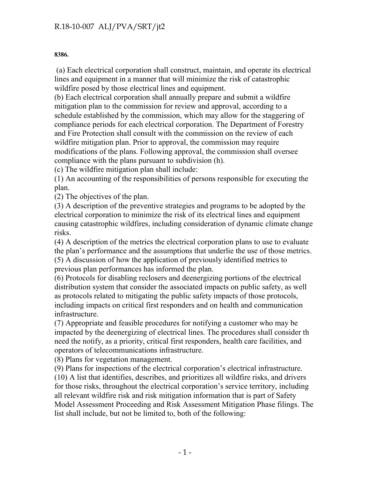**8386.**

(a) Each electrical corporation shall construct, maintain, and operate its electrical lines and equipment in a manner that will minimize the risk of catastrophic wildfire posed by those electrical lines and equipment.

(b) Each electrical corporation shall annually prepare and submit a wildfire mitigation plan to the commission for review and approval, according to a schedule established by the commission, which may allow for the staggering of compliance periods for each electrical corporation. The Department of Forestry and Fire Protection shall consult with the commission on the review of each wildfire mitigation plan. Prior to approval, the commission may require modifications of the plans. Following approval, the commission shall oversee compliance with the plans pursuant to subdivision (h).

(c) The wildfire mitigation plan shall include:

(1) An accounting of the responsibilities of persons responsible for executing the plan.

(2) The objectives of the plan.

(3) A description of the preventive strategies and programs to be adopted by the electrical corporation to minimize the risk of its electrical lines and equipment causing catastrophic wildfires, including consideration of dynamic climate change risks.

(4) A description of the metrics the electrical corporation plans to use to evaluate the plan's performance and the assumptions that underlie the use of those metrics. (5) A discussion of how the application of previously identified metrics to previous plan performances has informed the plan.

(6) Protocols for disabling reclosers and deenergizing portions of the electrical distribution system that consider the associated impacts on public safety, as well as protocols related to mitigating the public safety impacts of those protocols, including impacts on critical first responders and on health and communication infrastructure.

(7) Appropriate and feasible procedures for notifying a customer who may be impacted by the deenergizing of electrical lines. The procedures shall consider th need the notify, as a priority, critical first responders, health care facilities, and operators of telecommunications infrastructure.

(8) Plans for vegetation management.

(9) Plans for inspections of the electrical corporation's electrical infrastructure. (10) A list that identifies, describes, and prioritizes all wildfire risks, and drivers for those risks, throughout the electrical corporation's service territory, including all relevant wildfire risk and risk mitigation information that is part of Safety Model Assessment Proceeding and Risk Assessment Mitigation Phase filings. The list shall include, but not be limited to, both of the following: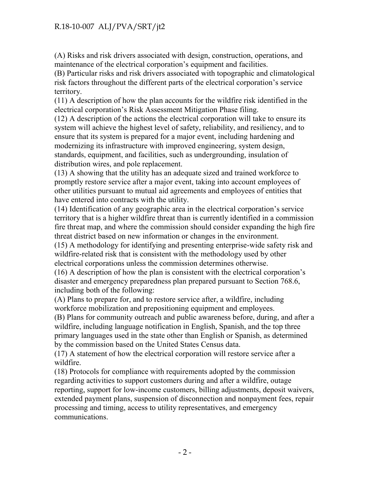(A) Risks and risk drivers associated with design, construction, operations, and maintenance of the electrical corporation's equipment and facilities.

(B) Particular risks and risk drivers associated with topographic and climatological risk factors throughout the different parts of the electrical corporation's service territory.

(11) A description of how the plan accounts for the wildfire risk identified in the electrical corporation's Risk Assessment Mitigation Phase filing.

(12) A description of the actions the electrical corporation will take to ensure its system will achieve the highest level of safety, reliability, and resiliency, and to ensure that its system is prepared for a major event, including hardening and modernizing its infrastructure with improved engineering, system design, standards, equipment, and facilities, such as undergrounding, insulation of distribution wires, and pole replacement.

(13) A showing that the utility has an adequate sized and trained workforce to promptly restore service after a major event, taking into account employees of other utilities pursuant to mutual aid agreements and employees of entities that have entered into contracts with the utility.

(14) Identification of any geographic area in the electrical corporation's service territory that is a higher wildfire threat than is currently identified in a commission fire threat map, and where the commission should consider expanding the high fire threat district based on new information or changes in the environment.

(15) A methodology for identifying and presenting enterprise-wide safety risk and wildfire-related risk that is consistent with the methodology used by other electrical corporations unless the commission determines otherwise.

(16) A description of how the plan is consistent with the electrical corporation's disaster and emergency preparedness plan prepared pursuant to Section 768.6, including both of the following:

(A) Plans to prepare for, and to restore service after, a wildfire, including workforce mobilization and prepositioning equipment and employees.

(B) Plans for community outreach and public awareness before, during, and after a wildfire, including language notification in English, Spanish, and the top three primary languages used in the state other than English or Spanish, as determined by the commission based on the United States Census data.

(17) A statement of how the electrical corporation will restore service after a wildfire.

(18) Protocols for compliance with requirements adopted by the commission regarding activities to support customers during and after a wildfire, outage reporting, support for low-income customers, billing adjustments, deposit waivers, extended payment plans, suspension of disconnection and nonpayment fees, repair processing and timing, access to utility representatives, and emergency communications.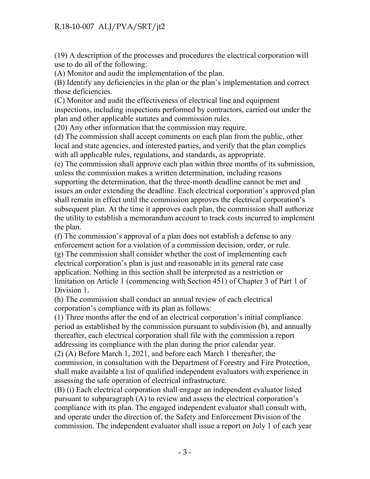(19) A description of the processes and procedures the electrical corporation will use to do all of the following:

(A) Monitor and audit the implementation of the plan.

(B) Identify any deficiencies in the plan or the plan's implementation and correct those deficiencies.

(C) Monitor and audit the effectiveness of electrical line and equipment inspections, including inspections performed by contractors, carried out under the plan and other applicable statutes and commission rules.

(20) Any other information that the commission may require.

(d) The commission shall accept comments on each plan from the public, other local and state agencies, and interested parties, and verify that the plan complies with all applicable rules, regulations, and standards, as appropriate.

(e) The commission shall approve each plan within three months of its submission, unless the commission makes a written determination, including reasons supporting the determination, that the three-month deadline cannot be met and issues an order extending the deadline. Each electrical corporation's approved plan shall remain in effect until the commission approves the electrical corporation's subsequent plan. At the time it approves each plan, the commission shall authorize the utility to establish a memorandum account to track costs incurred to implement the plan.

(f) The commission's approval of a plan does not establish a defense to any enforcement action for a violation of a commission decision, order, or rule. (g) The commission shall consider whether the cost of implementing each electrical corporation's plan is just and reasonable in its general rate case application. Nothing in this section shall be interpreted as a restriction or limitation on Article 1 (commencing with Section 451) of Chapter 3 of Part 1 of Division 1.

(h) The commission shall conduct an annual review of each electrical corporation's compliance with its plan as follows:

(1) Three months after the end of an electrical corporation's initial compliance period as established by the commission pursuant to subdivision (b), and annually thereafter, each electrical corporation shall file with the commission a report addressing its compliance with the plan during the prior calendar year.

(2) (A) Before March 1, 2021, and before each March 1 thereafter, the commission, in consultation with the Department of Forestry and Fire Protection, shall make available a list of qualified independent evaluators with experience in assessing the safe operation of electrical infrastructure.

(B) (i) Each electrical corporation shall engage an independent evaluator listed pursuant to subparagraph (A) to review and assess the electrical corporation's compliance with its plan. The engaged independent evaluator shall consult with, and operate under the direction of, the Safety and Enforcement Division of the commission. The independent evaluator shall issue a report on July 1 of each year